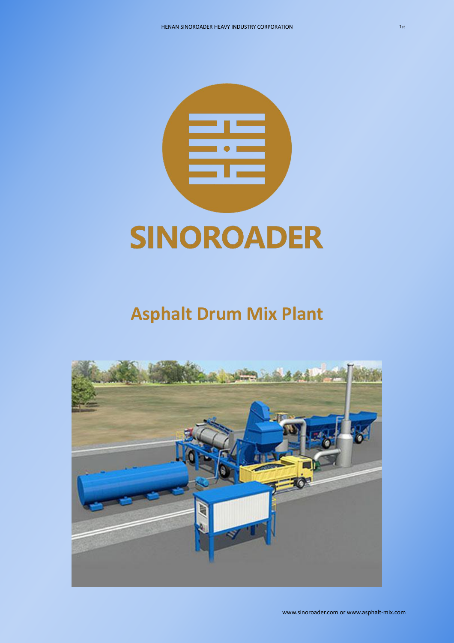

# **Asphalt Drum Mix Plant**

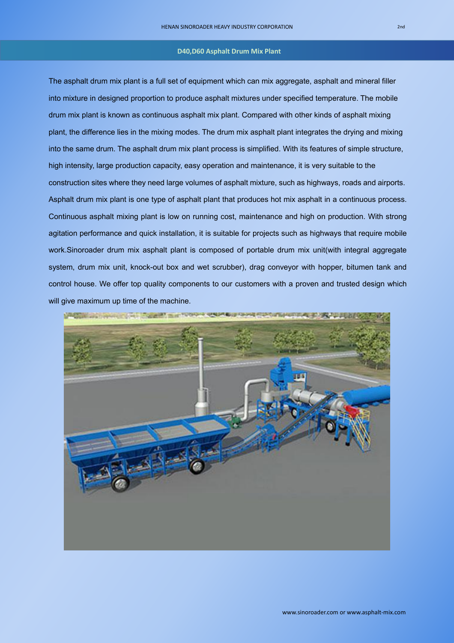The asphalt drum mix plant is a full set of equipment which can mix aggregate, asphalt and mineral filler into mixture in designed proportion to produce asphalt mixtures under specified temperature. The mobile drum mix plant is known as continuous asphalt mix plant. Compared with other kinds of asphalt mixing plant, the difference lies in the mixing modes. The drum mix asphalt plant integrates the drying and mixing into the same drum. The asphalt drum mix plant process is simplified. With its features of simple structure, high intensity, large production capacity, easy operation and maintenance, it is very suitable to the construction sites where they need large volumes of asphalt mixture, such as highways, roads and airports. Asphalt drum mix plant is one type of asphalt plant that produces hot mix asphalt in a continuous process. Continuous asphalt mixing plant is low on running cost, maintenance and high on production.With strong agitation performance and quick installation, it is suitable for projects such as highways that require mobile work.Sinoroader drum mix asphalt plant is composed of portable drum mix unit(with integral aggregate system, drum mix unit, knock-out box and wet scrubber), drag conveyor with hopper, bitumen tank and control house. We offer top quality components to our customers with a proven and trusted design which will give maximum up time of the machine.



# **D40,D60 Asphalt Drum Mix Plant**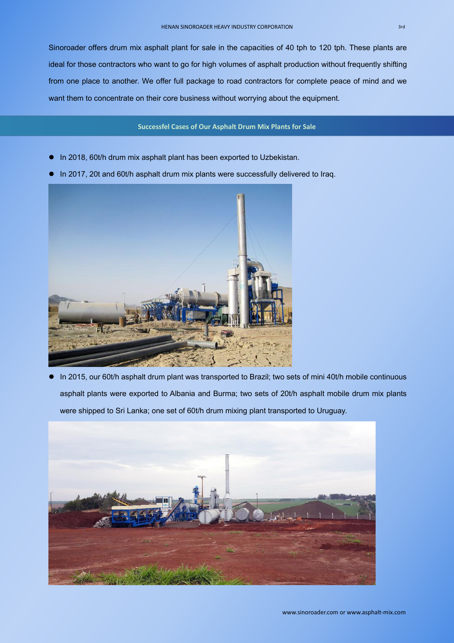Sinoroader offers drum mix asphalt plant for sale in the capacities of 40 tph to 120 tph. These plants are ideal for those contractors who want to go for high volumes of asphalt production without frequently shifting from one place to another. We offer full package to road contractors for complete peace of mind and we want them to concentrate on their core business without worrying about the equipment.

- In 2018, 60t/h drum mix asphalt plant has been exported to Uzbekistan.
- In 2017, 20t and 60t/h asphalt drum mix plants were successfully delivered to Iraq.



 In 2015, our 60t/h asphalt drum plant was transported to Brazil; two sets of mini 40t/h mobile continuous asphalt plants were exported to Albania and Burma; two sets of 20t/h asphalt mobile drum mix plants were shipped to Sri Lanka; one set of 60t/h drum mixing plant transported to Uruguay.



# **Successfel Cases of Our Asphalt Drum Mix Plants for Sale**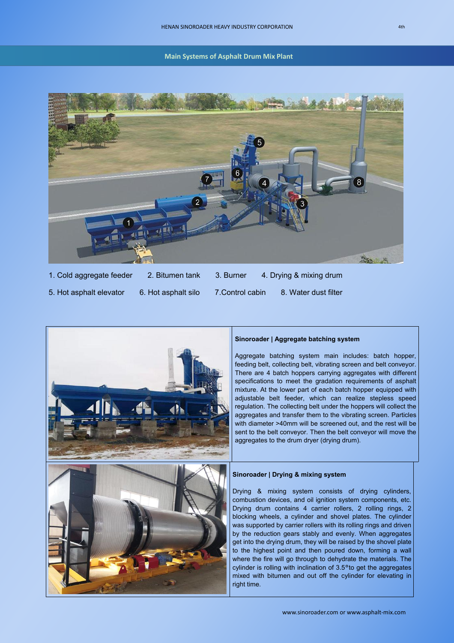

| 1. Cold aggregate feeder | 2. Bitumen tank     | 3. Burner        | 4. Drying & mixing drum |
|--------------------------|---------------------|------------------|-------------------------|
| 5. Hot asphalt elevator  | 6. Hot asphalt silo | 7. Control cabin | 8. Water dust filter    |



#### **Sinoroader | Aggregate batching system**

Aggregate batching system main includes: batch hopper, feeding belt, collecting belt, vibrating screen and belt conveyor. There are 4 batch hoppers carrying aggregates with different specifications to meet the gradation requirements of asphalt mixture. At the lower part of each batch hopper equipped with adjustable belt feeder, which can realize stepless speed regulation. The collecting belt under the hoppers will collect the aggregates and transfer them to the vibrating screen. Particles with diameter >40mm will be screened out, and the rest will be sent to the belt conveyor. Then the belt conveyor will move the aggregates to the drum dryer (drying drum).

# **Sinoroader | Drying & mixing system**

Drying & mixing system consists of drying cylinders, combustion devices, and oil ignition system components, etc. Drying drum contains 4 carrier rollers, 2 rolling rings, 2 blocking wheels, a cylinder and shovel plates. The cylinder was supported by carrier rollers with its rolling rings and driven by the reduction gears stably and evenly. When aggregates get into the drying drum, they will be raised by the shovel plate to the highest point and then poured down, forming a wall where the fire will go through to dehydrate the materials. The cylinder is rolling with inclination of 3.5°to get the aggregates mixed with bitumen and out off the cylinder for elevating in right time.

**Main Systems of Asphalt Drum Mix Plant**

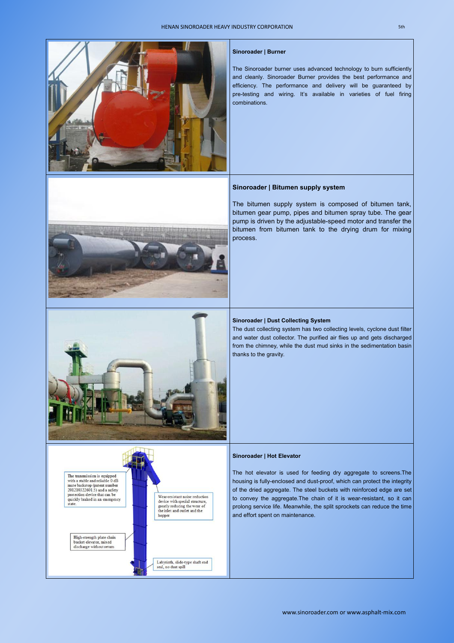

## **Sinoroader | Burner**

The Sinoroader burner uses advanced technology to burn sufficiently and cleanly. Sinoroader Burner provides the best performance and efficiency. The performance and delivery will be guaranteed by pre-testing and wiring. It's available in varieties of fuel firing combinations.



The hot elevator is used for feeding dry aggregate to screens.The housing is fully-enclosed and dust-proof, which can protect the integrity

The bitumen supply system is composed of bitumen tank, bitumen gear pump, pipes and bitumen spray tube. The gear pump is driven by the adjustable-speed motor and transfer the bitumen from bitumen tank to the drying drum for mixing process.





# The transmission is equipped with a stable and reliable 0 dB mute backstop (patent number

# **Sinoroader | Dust Collecting System**

The dust collecting system has two collecting levels, cyclone dust filter and water dust collector. The purified air flies up and gets discharged from the chimney, while the dust mud sinks in the sedimentation basin thanks to the gravity.

# **Sinoroader | Hot Elevator**

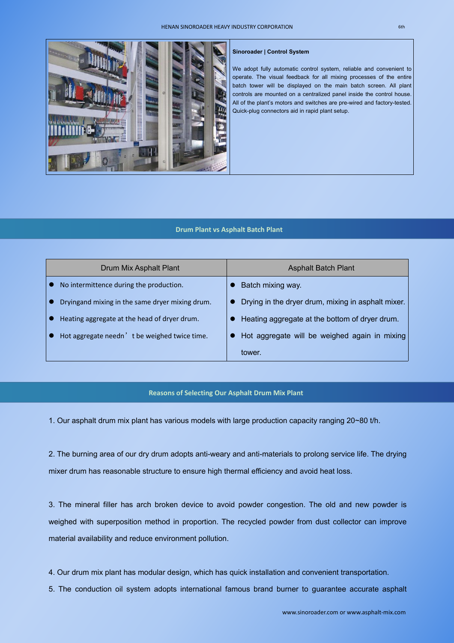

| Drum Mix Asphalt Plant                          | <b>Asphalt Batch Plant</b>                         |
|-------------------------------------------------|----------------------------------------------------|
| No intermittence during the production.         | Batch mixing way.                                  |
| Dryingand mixing in the same dryer mixing drum. | Drying in the dryer drum, mixing in asphalt mixer. |
| Heating aggregate at the head of dryer drum.    | Heating aggregate at the bottom of dryer drum.     |
| Hot aggregate needn't be weighed twice time.    | Hot aggregate will be weighed again in mixing      |
|                                                 | tower.                                             |

2. The burning area of our dry drum adopts anti-weary and anti-materials to prolong service life. The drying mixer drum has reasonable structure to ensure high thermal efficiency and avoid heat loss.

1. Our asphalt drum mix plant has various models with large production capacity ranging 20~80 t/h.

We adopt fully automatic control system, reliable and convenient to operate. The visual feedback for all mixing processes of the entire batch tower will be displayed on the main batch screen. All plant controls are mounted on a centralized panel inside the control house. All of the plant's motors and switches are pre-wired and factory-tested. Quick-plug connectors aid in rapid plant setup.

3. The mineral filler has arch broken device to avoid powder congestion. The old and new powder is

weighed with superposition method in proportion. The recycled powder from dust collector can improve

material availability and reduce environment pollution.

4. Our drum mix plant has modular design, which has quick installation and convenient transportation.

5. The conduction oil system adopts international famous brand burner to guarantee accurate asphalt

# **Sinoroader | Control System**

# **Drum Plant vs Asphalt Batch Plant**

# **Reasons of Selecting Our Asphalt Drum Mix Plant**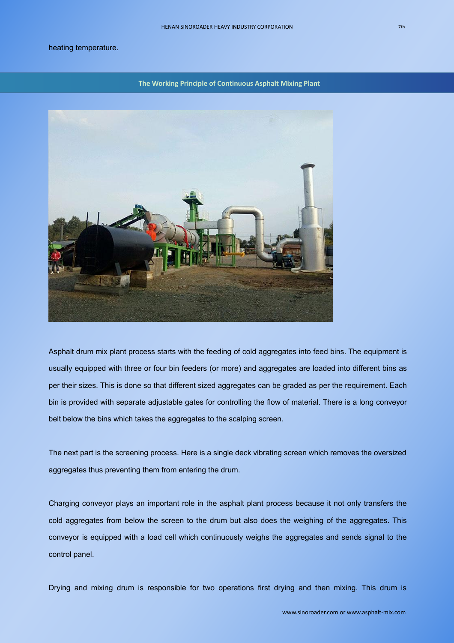Charging conveyor plays an important role in the asphalt plant process because it not only transfers the

heating temperature.

Asphalt drum mix plant process starts with the feeding of cold aggregates into feed bins. The equipment is usually equipped with three or four bin feeders (or more) and aggregates are loaded into different bins as per their sizes. This is done so that different sized aggregates can be graded as per the requirement. Each bin is provided with separate adjustable gates for controlling the flow of material. There is a long conveyor belt below the bins which takes the aggregates to the scalping screen.

The next part is the screening process. Here is a single deck vibrating screen which removes the oversized aggregates thus preventing them from entering the drum.

cold aggregates from below the screen to the drum but also does the weighing of the aggregates. This

conveyor is equipped with a load cell which continuously weighs the aggregates and sends signal to the control panel.

Drying and mixing drum is responsible for two operations first drying and then mixing. This drum is

**The Working Principle of Continuous Asphalt Mixing Plant**

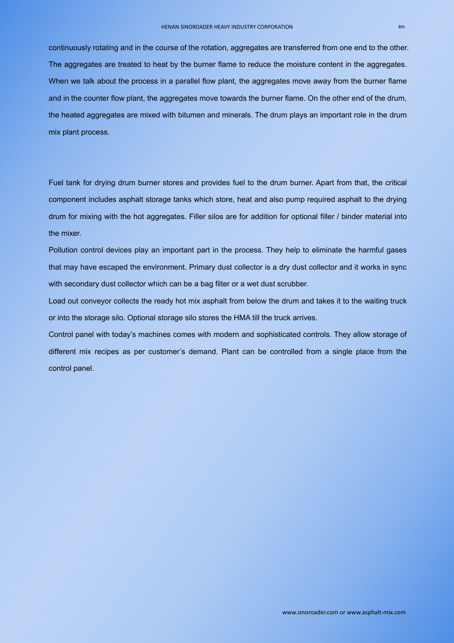continuously rotating and in the course of the rotation, aggregates are transferred from one end to the other. The aggregates are treated to heat by the burner flame to reduce the moisture content in the aggregates. When we talk about the process in a parallel flow plant, the aggregates move away from the burner flame and in the counter flow plant, the aggregates move towards the burner flame. On the otherend of the drum, the heated aggregates are mixed with bitumen and minerals. The drum plays an important role in the drum mix plant process.

Fuel tank for drying drum burner stores and provides fuel to the drum burner. Apart from that, the critical component includes asphalt storage tanks which store, heat and also pump required asphalt to the drying drum for mixing with the hot aggregates. Filler silos are for addition for optional filler / binder material into the mixer.

Load out conveyor collects the ready hot mix asphalt from below the drum and takes it to the waiting truck or into the storage silo. Optional storage silo stores the HMA till the truck arrives.

Pollution control devices play an important part in the process. They help to eliminate the harmful gases that may have escaped the environment. Primary dust collector is a dry dust collector and it works in sync with secondary dust collector which can be a bag filter or a wet dust scrubber.

Control panel with today's machines comes with modern and sophisticated controls. They allow storage of different mix recipes as per customer's demand. Plant can be controlled from a single place from the control panel.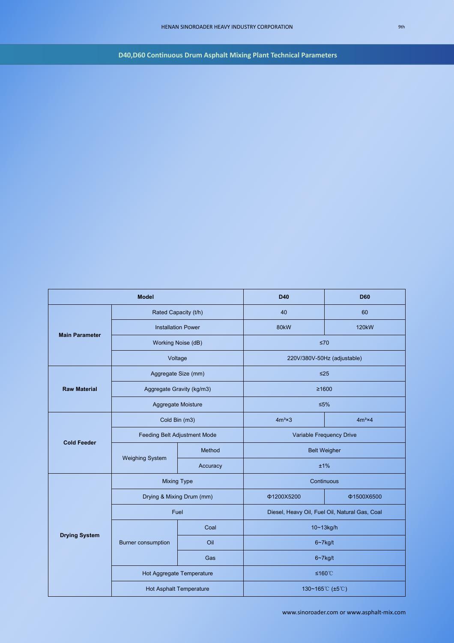**D40,D60** Continuous Drum Asphalt Mixing Plant Technical Parameters

[www.sinoroader.com](http://www.sinoroader.com) or www.asphalt-mix.com

| <b>Model</b>          |                                |          | <b>D40</b>                                     | <b>D60</b>     |
|-----------------------|--------------------------------|----------|------------------------------------------------|----------------|
| <b>Main Parameter</b> | Rated Capacity (t/h)           |          | 40                                             | 60             |
|                       | <b>Installation Power</b>      |          | <b>80kW</b>                                    | <b>120kW</b>   |
|                       | Working Noise (dB)             |          | $\leq 70$                                      |                |
|                       | Voltage                        |          | 220V/380V-50Hz (adjustable)                    |                |
| <b>Raw Material</b>   | Aggregate Size (mm)            |          | $\leq$ 25                                      |                |
|                       | Aggregate Gravity (kg/m3)      |          | ≥1600                                          |                |
|                       | Aggregate Moisture             |          | $≤5\%$                                         |                |
| <b>Cold Feeder</b>    | Cold Bin (m3)                  |          | $4m3 \times 3$                                 | $4m3 \times 4$ |
|                       | Feeding Belt Adjustment Mode   |          | Variable Frequency Drive                       |                |
|                       | <b>Weighing System</b>         | Method   | <b>Belt Weigher</b>                            |                |
|                       |                                | Accuracy | ±1%                                            |                |
|                       | <b>Mixing Type</b>             |          | Continuous                                     |                |
| <b>Drying System</b>  | Drying & Mixing Drum (mm)      |          | Φ1200X5200                                     | Φ1500X6500     |
|                       | Fuel                           |          | Diesel, Heavy Oil, Fuel Oil, Natural Gas, Coal |                |
|                       |                                | Coal     | 10~13kg/h                                      |                |
|                       | Burner consumption             | Oil      | $6 - 7$ kg/t                                   |                |
|                       |                                | Gas      | $6 - 7$ kg/t                                   |                |
|                       | Hot Aggregate Temperature      |          | ≤160℃                                          |                |
|                       | <b>Hot Asphalt Temperature</b> |          | 130~165℃ (±5℃)                                 |                |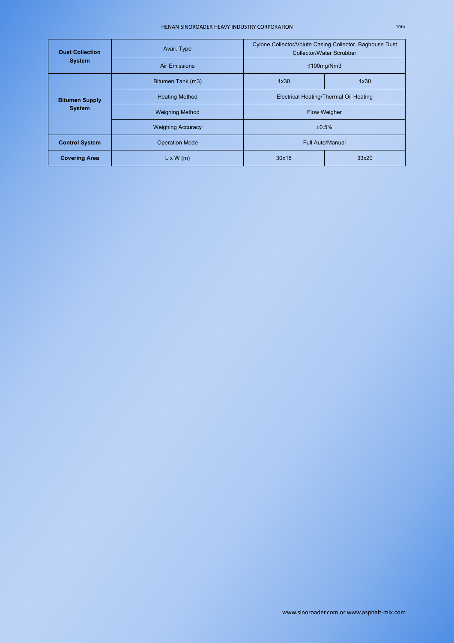## HENAN SINOROADER HEAVY INDUSTRY CORPORATION

[www.sinoroader.com](http://www.sinoroader.com) or www.asphalt-mix.com

| <b>Dust Collection</b>                 | Avail. Type              | Cylone Collector/Volute Casing Collector, Baghouse Dust<br><b>Collector/Water Scrubber</b> |       |  |
|----------------------------------------|--------------------------|--------------------------------------------------------------------------------------------|-------|--|
| <b>System</b>                          | <b>Air Emissions</b>     | $\leq 100$ mg/Nm3                                                                          |       |  |
| <b>Bitumen Supply</b><br><b>System</b> | Bitumen Tank (m3)        | 1x30                                                                                       | 1x30  |  |
|                                        | <b>Heating Method</b>    | <b>Electrical Heating/Thermal Oil Heating</b>                                              |       |  |
|                                        | <b>Weighing Method</b>   | <b>Flow Weigher</b>                                                                        |       |  |
|                                        | <b>Weighing Accuracy</b> | ±0.5%                                                                                      |       |  |
| <b>Control System</b>                  | <b>Operation Mode</b>    | <b>Full Auto/Manual</b>                                                                    |       |  |
| <b>Covering Area</b>                   | $L \times W$ (m)         | 30x16                                                                                      | 33x20 |  |